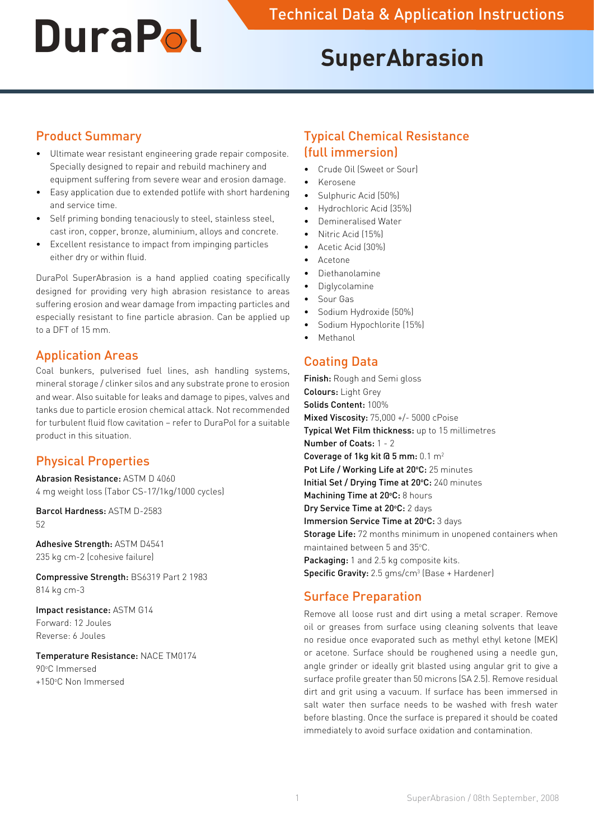# **SuperAbrasion**

### Product Summary

- • Ultimate wear resistant engineering grade repair composite. Specially designed to repair and rebuild machinery and equipment suffering from severe wear and erosion damage.
- • Easy application due to extended potlife with short hardening and service time.
- Self priming bonding tenaciously to steel, stainless steel, cast iron, copper, bronze, aluminium, alloys and concrete.
- Excellent resistance to impact from impinging particles either dry or within fluid.

DuraPol SuperAbrasion is a hand applied coating specifically designed for providing very high abrasion resistance to areas suffering erosion and wear damage from impacting particles and especially resistant to fine particle abrasion. Can be applied up to a DFT of 15 mm.

#### Application Areas

Coal bunkers, pulverised fuel lines, ash handling systems, mineral storage / clinker silos and any substrate prone to erosion and wear. Also suitable for leaks and damage to pipes, valves and tanks due to particle erosion chemical attack. Not recommended for turbulent fluid flow cavitation – refer to DuraPol for a suitable product in this situation.

# Physical Properties

Abrasion Resistance: ASTM D 4060 4 mg weight loss (Tabor CS-17/1kg/1000 cycles)

Barcol Hardness: ASTM D-2583 52

Adhesive Strength: ASTM D4541 235 kg cm-2 (cohesive failure)

Compressive Strength: BS6319 Part 2 1983 814 kg cm-3

Impact resistance: ASTM G14 Forward: 12 Joules Reverse: 6 Joules

#### Temperature Resistance: NACE TM0174 90°C Immersed +150°C Non Immersed

### Typical Chemical Resistance (full immersion)

- Crude Oil (Sweet or Sour)
- • Kerosene
- Sulphuric Acid (50%)
- Hydrochloric Acid (35%)
- Demineralised Water
- Nitric Acid (15%)
- Acetic Acid (30%)
- • Acetone
- **Diethanolamine**
- **Diglycolamine**
- Sour Gas
- Sodium Hydroxide (50%)
- Sodium Hypochlorite (15%)
- • Methanol

## Coating Data

Finish: Rough and Semi gloss Colours: Light Grey Solids Content: 100% Mixed Viscosity: 75,000 +/- 5000 cPoise Typical Wet Film thickness: up to 15 millimetres Number of Coats: 1 - 2 Coverage of 1kg kit  $\overline{a}$  5 mm:  $0.1 \text{ m}^2$ Pot Life / Working Life at 20°C: 25 minutes Initial Set / Drying Time at 20°C: 240 minutes Machining Time at 20°C: 8 hours Dry Service Time at 20°C: 2 days Immersion Service Time at 20°C: 3 days **Storage Life:** 72 months minimum in unopened containers when maintained between 5 and 35°C. Packaging: 1 and 2.5 kg composite kits. **Specific Gravity:** 2.5  $g$ ms/cm<sup>3</sup> (Base + Hardener)

#### Surface Preparation

Remove all loose rust and dirt using a metal scraper. Remove oil or greases from surface using cleaning solvents that leave no residue once evaporated such as methyl ethyl ketone (MEK) or acetone. Surface should be roughened using a needle gun, angle grinder or ideally grit blasted using angular grit to give a surface profile greater than 50 microns (SA 2.5). Remove residual dirt and grit using a vacuum. If surface has been immersed in salt water then surface needs to be washed with fresh water before blasting. Once the surface is prepared it should be coated immediately to avoid surface oxidation and contamination.